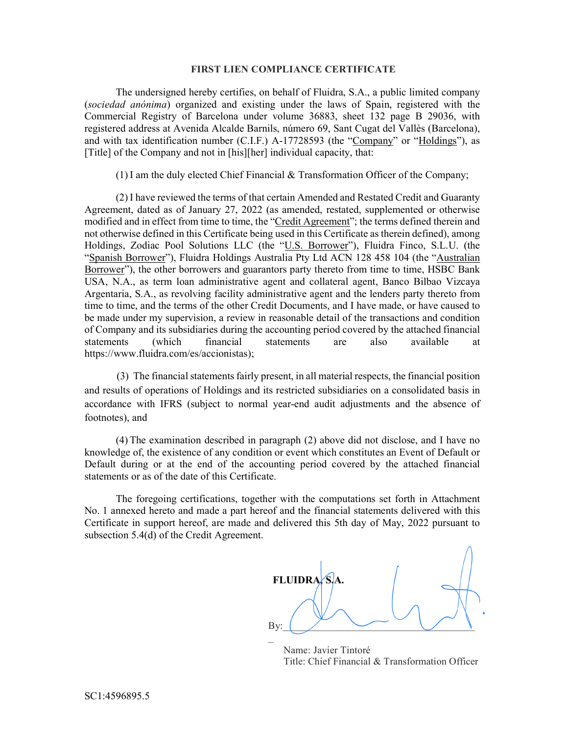## FIRST LIEN COMPLIANCE CERTIFICATE

The undersigned hereby certifies, on behalf of Fluidra, S.A., a public limited company (sociedad anónima) organized and existing under the laws of Spain, registered with the Commercial Registry of Barcelona under volume 36883, sheet 132 page B 29036, with registered address at Avenida Alcalde Barnils, número 69, Sant Cugat del Vallès (Barcelona), and with tax identification number (C.I.F.) A-17728593 (the "Company" or "Holdings"), as [Title] of the Company and not in [his][her] individual capacity, that:

 $(1)$  I am the duly elected Chief Financial & Transformation Officer of the Company;

(2) I have reviewed the terms of that certain Amended and Restated Credit and Guaranty Agreement, dated as of January 27, 2022 (as amended, restated, supplemented or otherwise modified and in effect from time to time, the "Credit Agreement"; the terms defined therein and not otherwise defined in this Certificate being used in this Certificate as therein defined), among Holdings, Zodiac Pool Solutions LLC (the "U.S. Borrower"), Fluidra Finco, S.L.U. (the "Spanish Borrower"), Fluidra Holdings Australia Pty Ltd ACN 128 458 104 (the "Australian Borrower"), the other borrowers and guarantors party thereto from time to time, HSBC Bank USA, N.A., as term loan administrative agent and collateral agent, Banco Bilbao Vizcaya Argentaria, S.A., as revolving facility administrative agent and the lenders party thereto from time to time, and the terms of the other Credit Documents, and I have made, or have caused to be made under my supervision, a review in reasonable detail of the transactions and condition of Company and its subsidiaries during the accounting period covered by the attached financial statements (which financial statements are also available at https://www.fluidra.com/es/accionistas);

 (3) The financial statements fairly present, in all material respects, the financial position and results of operations of Holdings and its restricted subsidiaries on a consolidated basis in accordance with IFRS (subject to normal year-end audit adjustments and the absence of footnotes), and

(4) The examination described in paragraph (2) above did not disclose, and I have no knowledge of, the existence of any condition or event which constitutes an Event of Default or Default during or at the end of the accounting period covered by the attached financial statements or as of the date of this Certificate.

The foregoing certifications, together with the computations set forth in Attachment No. 1 annexed hereto and made a part hereof and the financial statements delivered with this Certificate in support hereof, are made and delivered this 5th day of May, 2022 pursuant to subsection 5.4(d) of the Credit Agreement.

**FLUIDRA** By:\_\_\_\_\_\_\_\_\_\_\_\_\_\_\_\_\_\_\_\_\_\_\_\_\_\_\_\_\_\_\_\_\_\_\_\_\_\_  $\overline{a}$ 

 Name: Javier Tintoré Title: Chief Financial & Transformation Officer